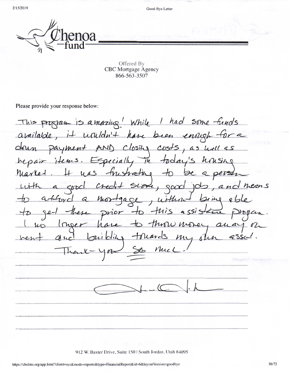$2/15/2019$ 

Good-Bye Letter

Offered By **CBC** Mortgage Agency 866-563-3507

Please provide your response below:

This program is a mazing ! While I had some funds available, it upuldn't have been enrigh for a drun payment AND ClosTy costs, as well as Especially in today hrising hepair items. us frustrating to Marle- $\partial$ e a person and nears  $a$  good  $C$ *reci+* SLove, good  $105$ attord a mortgage, without Jeine able there prior to this assistance  $9e$ Progan. to throw money and Inser have With tonards  $duc$ my our vent  $Z'SS$ Muc thank

912 W. Baxter Drive, Suite 150 | South Jordan, Utah 84095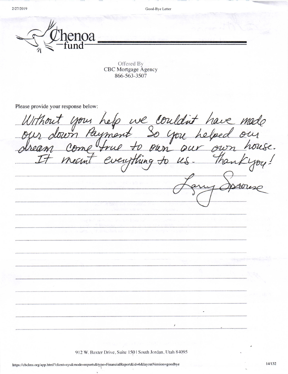2/27/2019

Good-Bye Letter



Offered By CBC Mortgage Agency 866-563-3507

Please provide your response below:

nit your help we couldn't have made<br>down Payment So you helped our<br>a come true to own our own house. rent

912 W. Baxter Drive, Suite 150 | South Jordan, Utah 84095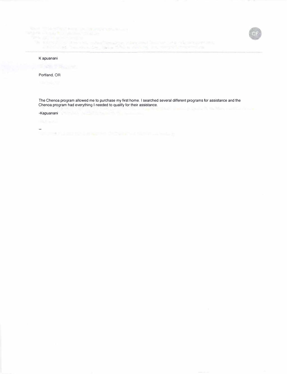#### K apuanani

## Portland, OR

The Chenoa program allowed me to purchase my first home. I searched several different programs for assistance and the Chenoa program had everything I needed to qualify for their assistance.

### -Kapuanani

ora (

The contract the enterty distributed through the